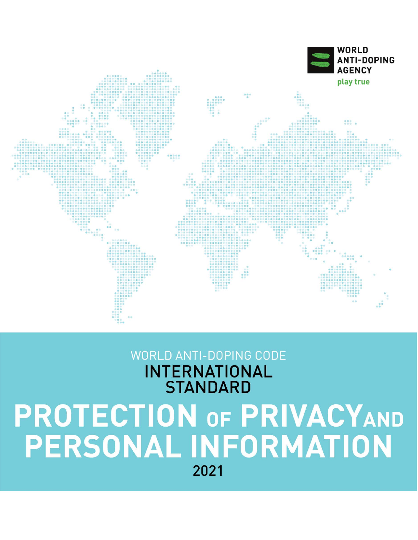

# **WORLD ANTI-DOPING CODE INTERNATIONAL STANDARD PROTECTION OF PRIVACYAND PERSONAL INFORMATION** 2021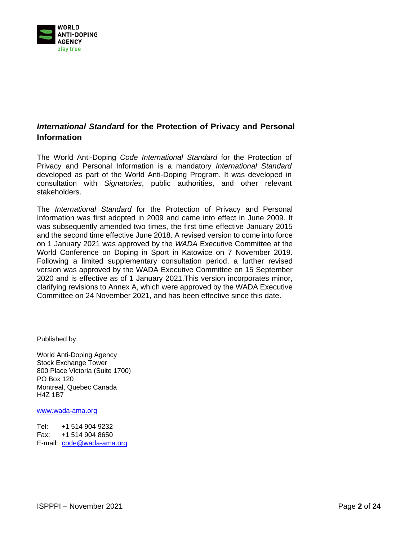

## *International Standard* **for the Protection of Privacy and Personal Information**

The World Anti-Doping *Code International Standard* for the Protection of Privacy and Personal Information is a mandatory *International Standard*  developed as part of the World Anti-Doping Program. It was developed in consultation with *Signatories*, public authorities, and other relevant stakeholders.

The *International Standard* for the Protection of Privacy and Personal Information was first adopted in 2009 and came into effect in June 2009. It was subsequently amended two times, the first time effective January 2015 and the second time effective June 2018. A revised version to come into force on 1 January 2021 was approved by the *WADA* Executive Committee at the World Conference on Doping in Sport in Katowice on 7 November 2019. Following a limited supplementary consultation period, a further revised version was approved by the WADA Executive Committee on 15 September 2020 and is effective as of 1 January 2021.This version incorporates minor, clarifying revisions to Annex A, which were approved by the WADA Executive Committee on 24 November 2021, and has been effective since this date.

Published by:

World Anti-Doping Agency Stock Exchange Tower 800 Place Victoria (Suite 1700) PO Box 120 Montreal, Quebec Canada H4Z 1B7

[www.wada-ama.org](http://www.wada-ama.org/)

Tel: +1 514 904 9232<br>Fax: +1 514 904 8650 +1 514 904 8650 E-mail: code@wada-ama.org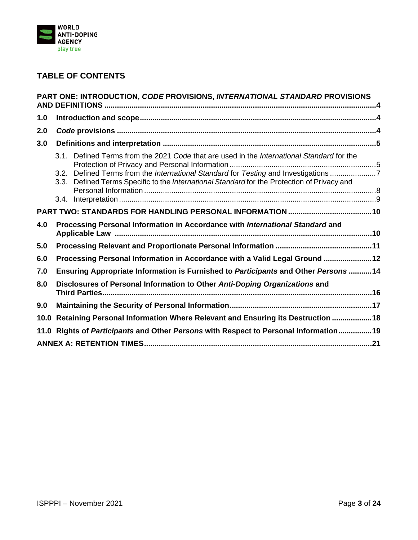

## **TABLE OF CONTENTS**

|      |                                                                                    | PART ONE: INTRODUCTION, CODE PROVISIONS, INTERNATIONAL STANDARD PROVISIONS                                                                                                         |  |  |  |
|------|------------------------------------------------------------------------------------|------------------------------------------------------------------------------------------------------------------------------------------------------------------------------------|--|--|--|
| 1.0  |                                                                                    |                                                                                                                                                                                    |  |  |  |
| 2.0  |                                                                                    |                                                                                                                                                                                    |  |  |  |
| 3.0  |                                                                                    |                                                                                                                                                                                    |  |  |  |
|      | 3.1.                                                                               | Defined Terms from the 2021 Code that are used in the International Standard for the                                                                                               |  |  |  |
|      |                                                                                    | 3.2. Defined Terms from the International Standard for Testing and Investigations 7<br>3.3. Defined Terms Specific to the International Standard for the Protection of Privacy and |  |  |  |
|      |                                                                                    |                                                                                                                                                                                    |  |  |  |
|      |                                                                                    |                                                                                                                                                                                    |  |  |  |
| 4.0  | Processing Personal Information in Accordance with International Standard and      |                                                                                                                                                                                    |  |  |  |
| 5.0  |                                                                                    |                                                                                                                                                                                    |  |  |  |
| 6.0  | Processing Personal Information in Accordance with a Valid Legal Ground 12         |                                                                                                                                                                                    |  |  |  |
| 7.0  | Ensuring Appropriate Information is Furnished to Participants and Other Persons 14 |                                                                                                                                                                                    |  |  |  |
| 8.0  | Disclosures of Personal Information to Other Anti-Doping Organizations and         |                                                                                                                                                                                    |  |  |  |
| 9.0  |                                                                                    |                                                                                                                                                                                    |  |  |  |
| 10.0 | Retaining Personal Information Where Relevant and Ensuring its Destruction 18      |                                                                                                                                                                                    |  |  |  |
| 11.0 | Rights of Participants and Other Persons with Respect to Personal Information19    |                                                                                                                                                                                    |  |  |  |
|      |                                                                                    |                                                                                                                                                                                    |  |  |  |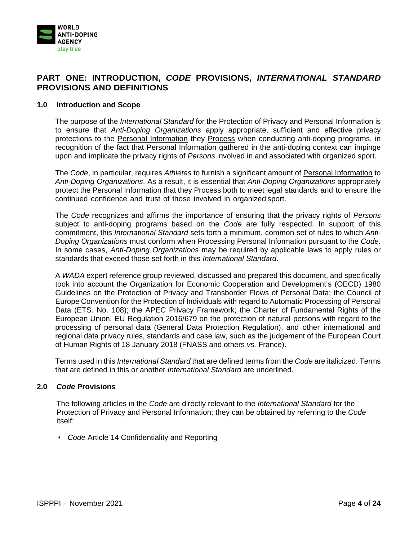

## <span id="page-3-0"></span>**PART ONE: INTRODUCTION,** *CODE* **PROVISIONS,** *INTERNATIONAL STANDARD* **PROVISIONS AND DEFINITIONS**

## <span id="page-3-2"></span><span id="page-3-1"></span>**1.0 Introduction and Scope**

The purpose of the *International Standard* for the Protection of Privacy and Personal Information is to ensure that *Anti-Doping Organizations* apply appropriate, sufficient and effective privacy protections to the Personal Information they Process when conducting anti-doping programs, in recognition of the fact that Personal Information gathered in the anti-doping context can impinge upon and implicate the privacy rights of *Persons* involved in and associated with organized sport.

The *Code*, in particular, requires *Athletes* to furnish a significant amount of Personal Information to *Anti-Doping Organizations*. As a result, it is essential that *Anti-Doping Organizations* appropriately protect the Personal Information that they Process both to meet legal standards and to ensure the continued confidence and trust of those involved in organized sport.

The *Code* recognizes and affirms the importance of ensuring that the privacy rights of *Persons*  subject to anti-doping programs based on the *Code* are fully respected. In support of this commitment, this *International Standard* sets forth a minimum, common set of rules to which *Anti-Doping Organizations* must conform when Processing Personal Information pursuant to the *Code*. In some cases, *Anti-Doping Organizations* may be required by applicable laws to apply rules or standards that exceed those set forth in this *International Standard*.

A *WADA* expert reference group reviewed, discussed and prepared this document, and specifically took into account the Organization for Economic Cooperation and Development's (OECD) 1980 Guidelines on the Protection of Privacy and Transborder Flows of Personal Data; the Council of Europe Convention for the Protection of Individuals with regard to Automatic Processing of Personal Data (ETS. No. 108); the APEC Privacy Framework; the Charter of Fundamental Rights of the European Union, EU Regulation 2016/679 on the protection of natural persons with regard to the processing of personal data (General Data Protection Regulation), and other international and regional data privacy rules, standards and case law, such as the judgement of the European Court of Human Rights of 18 January 2018 (FNASS and others *vs.* France).

Terms used in this *International Standard* that are defined terms from the *Code* are italicized. Terms that are defined in this or another *International Standard* are underlined.

## **2.0** *Code* **Provisions**

The following articles in the *Code* are directly relevant to the *International Standard* for the Protection of Privacy and Personal Information; they can be obtained by referring to the *Code*  itself:

<span id="page-3-3"></span>• *Code* Article 14 Confidentiality and Reporting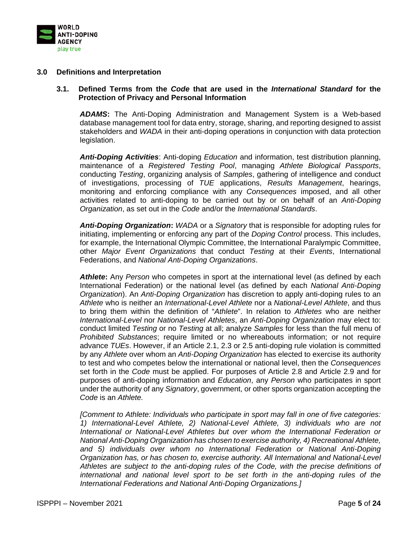

### <span id="page-4-0"></span>**3.0 Definitions and Interpretation**

### **3.1. Defined Terms from the** *Code* **that are used in the** *International Standard* **for the Protection of Privacy and Personal Information**

*ADAMS***:** The Anti-Doping Administration and Management System is a Web-based database management tool for data entry, storage, sharing, and reporting designed to assist stakeholders and *WADA* in their anti-doping operations in conjunction with data protection legislation.

*Anti-Doping Activities*: Anti-doping *Education* and information, test distribution planning, maintenance of a *Registered Testing Pool*, managing *Athlete Biological Passports*, conducting *Testing*, organizing analysis of *Samples*, gathering of intelligence and conduct of investigations, processing of *TUE* applications, *Results Management*, hearings, monitoring and enforcing compliance with any *Consequences* imposed, and all other activities related to anti-doping to be carried out by or on behalf of an *Anti-Doping Organization*, as set out in the *Code* and/or the *International Standards*.

*Anti-Doping Organization***:** *WADA* or a *Signatory* that is responsible for adopting rules for initiating, implementing or enforcing any part of the *Doping Control* process. This includes, for example, the International Olympic Committee, the International Paralympic Committee, other *Major Event Organizations* that conduct *Testing* at their *Events*, International Federations, and *National Anti-Doping Organizations*.

**Athlete:** Any *Person* who competes in sport at the international level (as defined by each International Federation) or the national level (as defined by each *National Anti-Doping Organization*). An *Anti-Doping Organization* has discretion to apply anti-doping rules to an *Athlete* who is neither an *International-Level Athlete* nor a *National-Level Athlete*, and thus to bring them within the definition of "*Athlete*". In relation to *Athletes* who are neither *International-Level* nor *National-Level Athletes*, an *Anti-Doping Organization* may elect to: conduct limited *Testing* or no *Testing* at all; analyze *Samples* for less than the full menu of *Prohibited Substances*; require limited or no whereabouts information; or not require advance *TUEs*. However, if an Article 2.1, 2.3 or 2.5 anti-doping rule violation is committed by any *Athlete* over whom an *Anti-Doping Organization* has elected to exercise its authority to test and who competes below the international or national level, then the *Consequences*  set forth in the *Code* must be applied. For purposes of Article 2.8 and Article 2.9 and for purposes of anti-doping information and *Education*, any *Person* who participates in sport under the authority of any *Signatory*, government, or other sports organization accepting the *Code* is an *Athlete.*

*[Comment to Athlete: Individuals who participate in sport may fall in one of five categories: 1) International-Level Athlete, 2) National-Level Athlete, 3) individuals who are not International or National-Level Athletes but over whom the International Federation or National Anti-Doping Organization has chosen to exercise authority, 4) Recreational Athlete, and 5) individuals over whom no International Federation or National Anti-Doping Organization has, or has chosen to, exercise authority. All International and National-Level Athletes are subject to the anti-doping rules of the Code, with the precise definitions of international and national level sport to be set forth in the anti-doping rules of the International Federations and National Anti-Doping Organizations.]*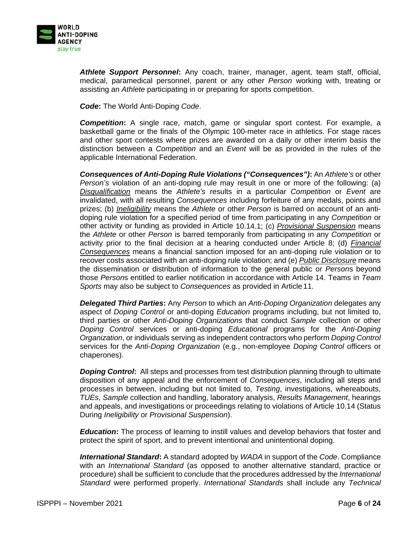

*Athlete Support Personnel***:** Any coach, trainer, manager, agent, team staff, official, medical, paramedical personnel, parent or any other *Person* working with, treating or assisting an *Athlete* participating in or preparing for sports competition.

*Code***:** The World Anti-Doping *Code*.

*Competition***:** A single race, match, game or singular sport contest. For example, a basketball game or the finals of the Olympic 100-meter race in athletics. For stage races and other sport contests where prizes are awarded on a daily or other interim basis the distinction between a *Competition* and an *Event* will be as provided in the rules of the applicable International Federation.

*Consequences of Anti-Doping Rule Violations ("Consequences")***:** An *Athlete's* or other *Person's* violation of an anti-doping rule may result in one or more of the following: (a) *Disqualification* means the *Athlete's* results in a particular *Competition* or *Event* are invalidated, with all resulting *Consequences* including forfeiture of any medals, points and prizes; (b) *Ineligibility* means the *Athlete* or other *Person* is barred on account of an antidoping rule violation for a specified period of time from participating in any *Competition* or other activity or funding as provided in Article 10.14.1; (c) *Provisional Suspension* means the *Athlete* or other *Person* is barred temporarily from participating in any *Competition* or activity prior to the final decision at a hearing conducted under Article 8; (d) *Financial Consequences* means a financial sanction imposed for an anti-doping rule violation or to recover costs associated with an anti-doping rule violation; and (e) *Public Disclosure* means the dissemination or distribution of information to the general public or *Person*s beyond those *Person*s entitled to earlier notification in accordance with Article 14. Teams in *Team Sports* may also be subject to *Consequences* as provided in Article 11.

*Delegated Third Parties***:** Any *Person* to which an *Anti-Doping Organization* delegates any aspect of *Doping Control* or anti-doping *Education* programs including, but not limited to, third parties or other *Anti-Doping Organizations* that conduct *Sample* collection or other *Doping Control* services or anti-doping *Educational* programs for the *Anti-Doping Organization*, or individuals serving as independent contractors who perform *Doping Control*  services for the *Anti-Doping Organization* (e.g., non-employee *Doping Control* officers or chaperones).

**Doping Control:** All steps and processes from test distribution planning through to ultimate disposition of any appeal and the enforcement of *Consequences*, including all steps and processes in between, including but not limited to, *Testing*, investigations, whereabouts, *TUEs*, *Sample* collection and handling, laboratory analysis, *Results Management*, hearings and appeals, and investigations or proceedings relating to violations of Article 10.14 (Status During *Ineligibility* or *Provisional Suspension*).

*Education***:** The process of learning to instill values and develop behaviors that foster and protect the spirit of sport, and to prevent intentional and unintentional doping.

*International Standard***:** A standard adopted by *WADA* in support of the *Code*. Compliance with an *International Standard* (as opposed to another alternative standard, practice or procedure) shall be sufficient to conclude that the procedures addressed by the *International Standard* were performed properly. *International Standards* shall include any *Technical*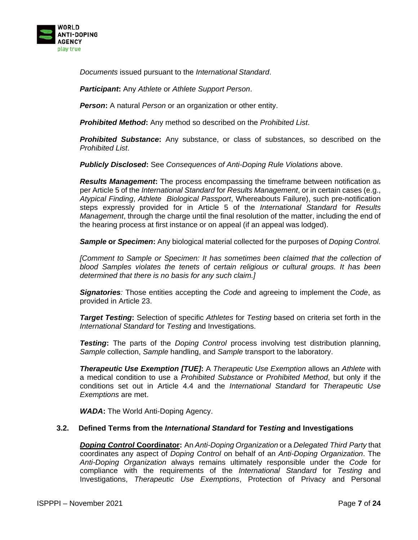

*Documents* issued pursuant to the *International Standard*.

*Participant***:** Any *Athlete* or *Athlete Support Person*.

*Person***:** A natural *Person* or an organization or other entity.

*Prohibited Method***:** Any method so described on the *Prohibited List*.

*Prohibited Substance***:** Any substance, or class of substances, so described on the *Prohibited List*.

*Publicly Disclosed***:** See *Consequences of Anti-Doping Rule Violations* above.

*Results Management***:** The process encompassing the timeframe between notification as per Article 5 of the *International Standard* for *Results Management*, or in certain cases (e.g., *Atypical Finding*, *Athlete Biological Passport*, Whereabouts Failure), such pre-notification steps expressly provided for in Article 5 of the *International Standard* for *Results Management*, through the charge until the final resolution of the matter, including the end of the hearing process at first instance or on appeal (if an appeal was lodged).

*Sample* **or** *Specimen***:** Any biological material collected for the purposes of *Doping Control.* 

*[Comment to Sample or Specimen: It has sometimes been claimed that the collection of blood Samples violates the tenets of certain religious or cultural groups. It has been determined that there is no basis for any such claim.]*

*Signatories:* Those entities accepting the *Code* and agreeing to implement the *Code*, as provided in Article 23.

*Target Testing***:** Selection of specific *Athletes* for *Testing* based on criteria set forth in the *International Standard* for *Testing* and Investigations.

**Testing:** The parts of the *Doping Control* process involving test distribution planning, *Sample* collection, *Sample* handling, and *Sample* transport to the laboratory.

*Therapeutic Use Exemption [TUE]***:** A *Therapeutic Use Exemption* allows an *Athlete* with a medical condition to use a *Prohibited Substance* or *Prohibited Method*, but only if the conditions set out in Article 4.4 and the *International Standard* for *Therapeutic Use Exemptions* are met.

*WADA***:** The World Anti-Doping Agency.

#### <span id="page-6-0"></span>**3.2. Defined Terms from the** *International Standard* **for** *Testing* **and Investigations**

*Doping Control* **Coordinator:** An *Anti-Doping Organization* or a *Delegated Third Party* that coordinates any aspect of *Doping Control* on behalf of an *Anti-Doping Organization*. The *Anti-Doping Organization* always remains ultimately responsible under the *Code* for compliance with the requirements of the *International Standard* for *Testing* and Investigations, *Therapeutic Use Exemptions*, Protection of Privacy and Personal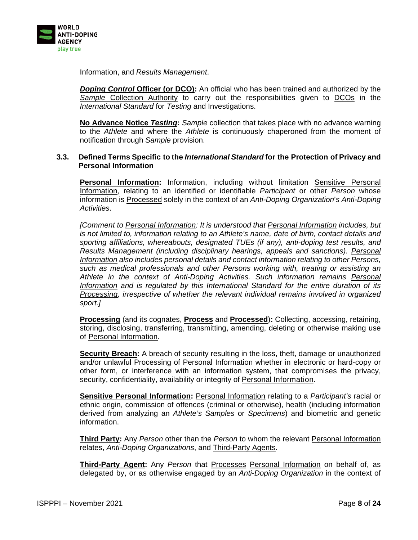

Information, and *Results Management*.

*Doping Control* **Officer (or DCO):** An official who has been trained and authorized by the **Sample Collection Authority** to carry out the responsibilities given to DCOs in the *International Standard* for *Testing* and Investigations.

**No Advance Notice** *Testing***:** *Sample* collection that takes place with no advance warning to the *Athlete* and where the *Athlete* is continuously chaperoned from the moment of notification through *Sample* provision.

## <span id="page-7-0"></span>**3.3. Defined Terms Specific to the** *International Standard* **for the Protection of Privacy and Personal Information**

**Personal Information:** Information, including without limitation Sensitive Personal Information, relating to an identified or identifiable *Participant* or other *Person* whose information is Processed solely in the context of an *Anti-Doping Organization*'*s Anti-Doping Activities*.

*[Comment to Personal Information: It is understood that Personal Information includes, but is not limited to, information relating to an Athlete's name, date of birth, contact details and sporting affiliations, whereabouts, designated TUEs (if any), anti-doping test results, and Results Management (including disciplinary hearings, appeals and sanctions). Personal Information also includes personal details and contact information relating to other Persons, such as medical professionals and other Persons working with, treating or assisting an Athlete in the context of Anti-Doping Activities. Such information remains Personal Information and is regulated by this International Standard for the entire duration of its Processing, irrespective of whether the relevant individual remains involved in organized sport.]*

**Processing** (and its cognates, **Process** and **Processed**)**:** Collecting, accessing, retaining, storing, disclosing, transferring, transmitting, amending, deleting or otherwise making use of Personal Information.

**Security Breach:** A breach of security resulting in the loss, theft, damage or unauthorized and/or unlawful Processing of Personal Information whether in electronic or hard-copy or other form, or interference with an information system, that compromises the privacy, security, confidentiality, availability or integrity of Personal Information.

**Sensitive Personal Information:** Personal Information relating to a *Participant's* racial or ethnic origin, commission of offences (criminal or otherwise), health (including information derived from analyzing an *Athlete's Samples* or *Specimens*) and biometric and genetic information.

**Third Party:** Any *Person* other than the *Person* to whom the relevant Personal Information relates, *Anti-Doping Organizations*, and Third-Party Agents.

**Third-Party Agent:** Any *Person* that Processes Personal Information on behalf of, as delegated by, or as otherwise engaged by an *Anti-Doping Organization* in the context of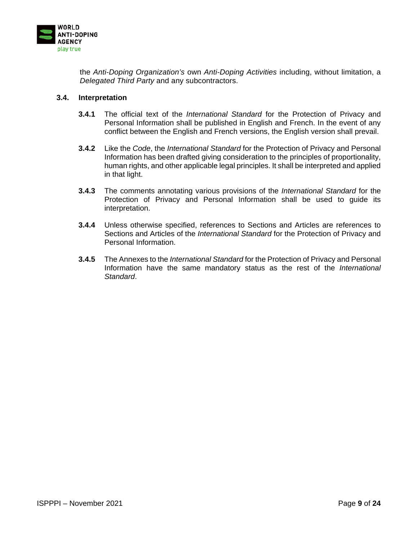

the *Anti-Doping Organization's* own *Anti-Doping Activities* including, without limitation, a *Delegated Third Party* and any subcontractors.

## <span id="page-8-0"></span>**3.4. Interpretation**

- **3.4.1** The official text of the *International Standard* for the Protection of Privacy and Personal Information shall be published in English and French. In the event of any conflict between the English and French versions, the English version shall prevail.
- **3.4.2** Like the *Code*, the *International Standard* for the Protection of Privacy and Personal Information has been drafted giving consideration to the principles of proportionality, human rights, and other applicable legal principles. It shall be interpreted and applied in that light.
- **3.4.3** The comments annotating various provisions of the *International Standard* for the Protection of Privacy and Personal Information shall be used to guide its interpretation.
- **3.4.4** Unless otherwise specified, references to Sections and Articles are references to Sections and Articles of the *International Standard* for the Protection of Privacy and Personal Information.
- **3.4.5** The Annexes to the *International Standard* for the Protection of Privacy and Personal Information have the same mandatory status as the rest of the *International Standard*.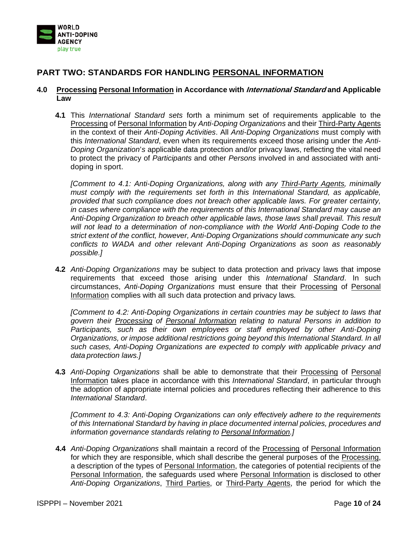

## <span id="page-9-0"></span>**PART TWO: STANDARDS FOR HANDLING PERSONAL INFORMATION**

## <span id="page-9-1"></span>**4.0 Processing Personal Information in Accordance with International Standard and Applicable Law**

**4.1** This *International Standard sets* forth a minimum set of requirements applicable to the Processing of Personal Information by *Anti-Doping Organizations* and their Third-Party Agents in the context of their *Anti-Doping Activities*. All *Anti-Doping Organizations* must comply with this *International Standard*, even when its requirements exceed those arising under the *Anti-Doping Organization*'*s* applicable data protection and/or privacy laws, reflecting the vital need to protect the privacy of *Participants* and other *Persons* involved in and associated with antidoping in sport.

*[Comment to 4.1: Anti-Doping Organizations, along with any Third-Party Agents, minimally*  must comply with the requirements set forth in this International Standard, as applicable, *provided that such compliance does not breach other applicable laws. For greater certainty, in cases where compliance with the requirements of this International Standard may cause an Anti-Doping Organization to breach other applicable laws, those laws shall prevail. This result will not lead to a determination of non-compliance with the World Anti-Doping Code to the strict extent of the conflict, however, Anti-Doping Organizations should communicate any such conflicts to WADA and other relevant Anti-Doping Organizations as soon as reasonably possible.]*

**4.2** *Anti-Doping Organizations* may be subject to data protection and privacy laws that impose requirements that exceed those arising under this *International Standard*. In such circumstances, *Anti-Doping Organizations* must ensure that their Processing of Personal Information complies with all such data protection and privacy laws*.* 

*[Comment to 4.2: Anti-Doping Organizations in certain countries may be subject to laws that govern their Processing of Personal Information relating to natural Persons in addition to Participants, such as their own employees or staff employed by other Anti-Doping Organizations, or impose additional restrictions going beyond this International Standard. In all such cases, Anti-Doping Organizations are expected to comply with applicable privacy and data protection laws.]*

**4.3** *Anti-Doping Organizations* shall be able to demonstrate that their Processing of Personal Information takes place in accordance with this *International Standard*, in particular through the adoption of appropriate internal policies and procedures reflecting their adherence to this *International Standard*.

*[Comment to 4.3: Anti-Doping Organizations can only effectively adhere to the requirements of this International Standard by having in place documented internal policies, procedures and information governance standards relating to Personal Information.]*

**4.4** *Anti-Doping Organizations* shall maintain a record of the Processing of Personal Information for which they are responsible, which shall describe the general purposes of the Processing, a description of the types of Personal Information, the categories of potential recipients of the Personal Information, the safeguards used where Personal Information is disclosed to other *Anti-Doping Organizations*, Third Parties, or Third-Party Agents, the period for which the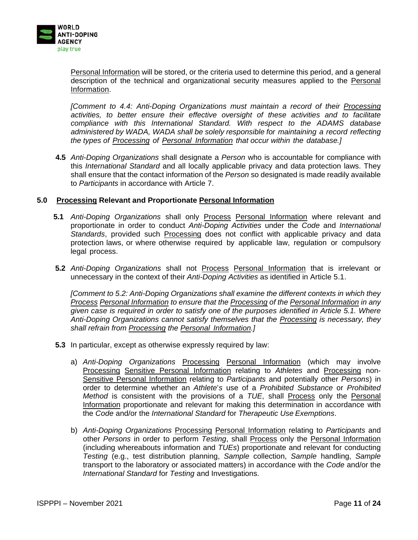

Personal Information will be stored, or the criteria used to determine this period, and a general description of the technical and organizational security measures applied to the Personal Information.

*[Comment to 4.4: Anti-Doping Organizations must maintain a record of their Processing activities, to better ensure their effective oversight of these activities and to facilitate compliance with this International Standard. With respect to the ADAMS database administered by WADA, WADA shall be solely responsible for maintaining a record reflecting the types of Processing of Personal Information that occur within the database.]*

**4.5** *Anti-Doping Organizations* shall designate a *Person* who is accountable for compliance with this *International Standard* and all locally applicable privacy and data protection laws. They shall ensure that the contact information of the *Person* so designated is made readily available to *Participants* in accordance with Article 7.

## <span id="page-10-0"></span>**5.0 Processing Relevant and Proportionate Personal Information**

- **5.1** *Anti-Doping Organizations* shall only Process Personal Information where relevant and proportionate in order to conduct *Anti-Doping Activities* under the *Code* and *International Standards*, provided such Processing does not conflict with applicable privacy and data protection laws, or where otherwise required by applicable law, regulation or compulsory legal process.
- **5.2** *Anti-Doping Organizations* shall not Process Personal Information that is irrelevant or unnecessary in the context of their *Anti-Doping Activities* as identified in Article 5.1.

*[Comment to 5.2: Anti-Doping Organizations shall examine the different contexts in which they Process Personal Information to ensure that the Processing of the Personal Information in any given case is required in order to satisfy one of the purposes identified in Article 5.1. Where Anti-Doping Organizations cannot satisfy themselves that the Processing is necessary, they shall refrain from Processing the Personal Information.]*

- **5.3** In particular, except as otherwise expressly required by law:
	- a) *Anti-Doping Organizations* Processing Personal Information (which may involve Processing Sensitive Personal Information relating to *Athletes* and Processing non-Sensitive Personal Information relating to *Participants* and potentially other *Persons*) in order to determine whether an *Athlete*'*s* use of a *Prohibited Substance* or *Prohibited Method* is consistent with the provisions of a *TUE*, shall Process only the Personal Information proportionate and relevant for making this determination in accordance with the *Code* and/or the *International Standard* for *Therapeutic Use Exemptions*.
	- b) *Anti-Doping Organizations* Processing Personal Information relating to *Participants* and other *Persons* in order to perform *Testing*, shall Process only the Personal Information (including whereabouts information and *TUEs*) proportionate and relevant for conducting *Testing* (e.g., test distribution planning, *Sample* collection, *Sample* handling, *Sample*  transport to the laboratory or associated matters) in accordance with the *Code* and/or the *International Standard* for *Testing* and Investigations.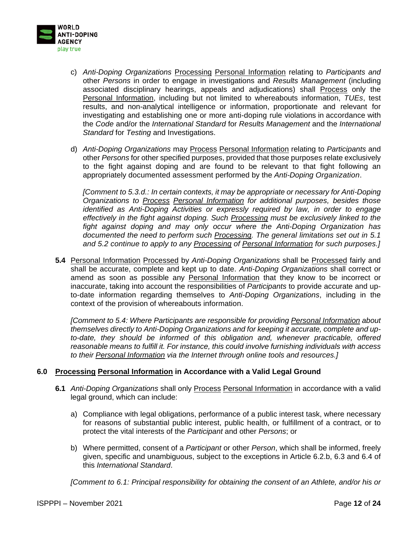

- c) *Anti-Doping Organizations* Processing Personal Information relating to *Participants and* other *Persons* in order to engage in investigations and *Results Management* (including associated disciplinary hearings, appeals and adjudications) shall Process only the Personal Information, including but not limited to whereabouts information, *TUEs*, test results, and non-analytical intelligence or information, proportionate and relevant for investigating and establishing one or more anti-doping rule violations in accordance with the *Code* and/or the *International Standard* for *Results Management* and the *International Standard* for *Testing* and Investigations.
- d) *Anti-Doping Organizations* may Process Personal Information relating to *Participants* and other *Persons* for other specified purposes, provided that those purposes relate exclusively to the fight against doping and are found to be relevant to that fight following an appropriately documented assessment performed by the *Anti-Doping Organization*.

*[Comment to 5.3.d.: In certain contexts, it may be appropriate or necessary for Anti-Doping Organizations to Process Personal Information for additional purposes, besides those identified as Anti-Doping Activities or expressly required by law, in order to engage effectively in the fight against doping. Such Processing must be exclusively linked to the fight against doping and may only occur where the Anti-Doping Organization has documented the need to perform such Processing. The general limitations set out in 5.1 and 5.2 continue to apply to any Processing of Personal Information for such purposes.]*

**5.4** Personal Information Processed by *Anti-Doping Organizations* shall be Processed fairly and shall be accurate, complete and kept up to date. *Anti-Doping Organizations* shall correct or amend as soon as possible any Personal Information that they know to be incorrect or inaccurate, taking into account the responsibilities of *Participants* to provide accurate and upto-date information regarding themselves to *Anti-Doping Organizations*, including in the context of the provision of whereabouts information.

*[Comment to 5.4: Where Participants are responsible for providing Personal Information about themselves directly to Anti-Doping Organizations and for keeping it accurate, complete and up*to-date, they should be informed of this obligation and, whenever practicable, offered *reasonable means to fulfill it. For instance, this could involve furnishing individuals with access to their Personal Information via the Internet through online tools and resources.]*

## <span id="page-11-0"></span>**6.0 Processing Personal Information in Accordance with a Valid Legal Ground**

- **6.1** *Anti-Doping Organizations* shall only Process Personal Information in accordance with a valid legal ground, which can include:
	- a) Compliance with legal obligations, performance of a public interest task, where necessary for reasons of substantial public interest, public health, or fulfillment of a contract, or to protect the vital interests of the *Participant* and other *Persons*; or
	- b) Where permitted, consent of a *Participant* or other *Person*, which shall be informed, freely given, specific and unambiguous, subject to the exceptions in Article 6.2.b, 6.3 and 6.4 of this *International Standard*.

*[Comment to 6.1: Principal responsibility for obtaining the consent of an Athlete, and/or his or*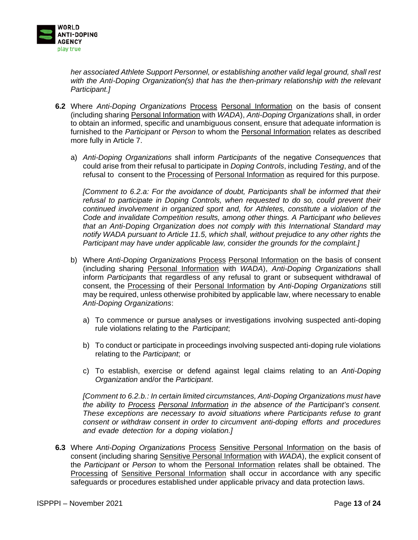

*her associated Athlete Support Personnel, or establishing another valid legal ground, shall rest with the Anti-Doping Organization(s) that has the then-primary relationship with the relevant Participant.]*

- **6.2** Where *Anti-Doping Organizations* Process Personal Information on the basis of consent (including sharing Personal Information with *WADA*), *Anti-Doping Organizations* shall, in order to obtain an informed, specific and unambiguous consent, ensure that adequate information is furnished to the *Participant* or *Person* to whom the Personal Information relates as described more fully in Article 7.
	- a) *Anti-Doping Organizations* shall inform *Participants* of the negative *Consequences* that could arise from their refusal to participate in *Doping Controls*, including *Testing*, and of the refusal to consent to the Processing of Personal Information as required for this purpose.

*[Comment to 6.2.a: For the avoidance of doubt, Participants shall be informed that their refusal to participate in Doping Controls, when requested to do so, could prevent their continued involvement in organized sport and, for Athletes, constitute a violation of the Code and invalidate Competition results, among other things. A Participant who believes that an Anti-Doping Organization does not comply with this International Standard may notify WADA pursuant to Article 11.5, which shall, without prejudice to any other rights the Participant may have under applicable law, consider the grounds for the complaint.]*

- b) Where *Anti-Doping Organizations* Process Personal Information on the basis of consent (including sharing Personal Information with *WADA*), *Anti-Doping Organizations* shall inform *Participants* that regardless of any refusal to grant or subsequent withdrawal of consent, the Processing of their Personal Information by *Anti-Doping Organizations* still may be required, unless otherwise prohibited by applicable law, where necessary to enable *Anti-Doping Organizations*:
	- a) To commence or pursue analyses or investigations involving suspected anti-doping rule violations relating to the *Participant*;
	- b) To conduct or participate in proceedings involving suspected anti-doping rule violations relating to the *Participant*; or
	- c) To establish, exercise or defend against legal claims relating to an *Anti-Doping Organization* and/or the *Participant*.

*[Comment to 6.2.b.: In certain limited circumstances, Anti-Doping Organizations must have the ability to Process Personal Information in the absence of the Participant's consent. These exceptions are necessary to avoid situations where Participants refuse to grant consent or withdraw consent in order to circumvent anti-doping efforts and procedures and evade detection for a doping violation.]*

**6.3** Where *Anti-Doping Organizations* Process Sensitive Personal Information on the basis of consent (including sharing Sensitive Personal Information with *WADA*), the explicit consent of the *Participant* or *Person* to whom the Personal Information relates shall be obtained. The Processing of Sensitive Personal Information shall occur in accordance with any specific safeguards or procedures established under applicable privacy and data protection laws.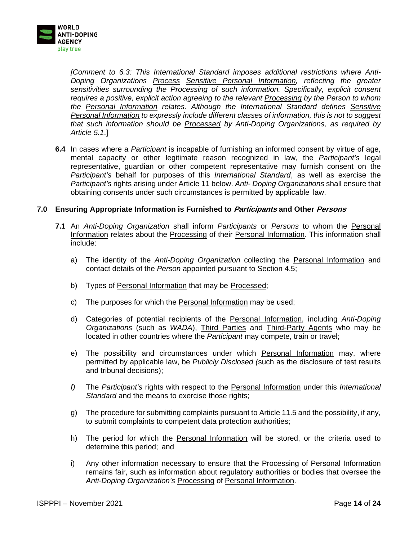

*[Comment to 6.3: This International Standard imposes additional restrictions where Anti-Doping Organizations Process Sensitive Personal Information, reflecting the greater sensitivities surrounding the Processing of such information. Specifically, explicit consent requires a positive, explicit action agreeing to the relevant Processing by the Person to whom the Personal Information relates. Although the International Standard defines Sensitive Personal Information to expressly include different classes of information, this is not to suggest that such information should be Processed by Anti-Doping Organizations, as required by Article 5.1*.]

**6.4** In cases where a *Participant* is incapable of furnishing an informed consent by virtue of age, mental capacity or other legitimate reason recognized in law, the *Participant's* legal representative, guardian or other competent representative may furnish consent on the *Participant's* behalf for purposes of this *International Standard*, as well as exercise the *Participant's* rights arising under Article 11 below. *Anti- Doping Organizations* shall ensure that obtaining consents under such circumstances is permitted by applicable law.

#### <span id="page-13-0"></span>**7.0 Ensuring Appropriate Information is Furnished to Participants and Other Persons**

- **7.1** An *Anti-Doping Organization* shall inform *Participants* or *Persons* to whom the Personal Information relates about the Processing of their Personal Information. This information shall include:
	- a) The identity of the *Anti-Doping Organization* collecting the Personal Information and contact details of the *Person* appointed pursuant to Section 4.5;
	- b) Types of Personal Information that may be Processed;
	- c) The purposes for which the Personal Information may be used;
	- d) Categories of potential recipients of the Personal Information, including *Anti-Doping Organizations* (such as *WADA*), Third Parties and Third-Party Agents who may be located in other countries where the *Participant* may compete, train or travel;
	- e) The possibility and circumstances under which Personal Information may, where permitted by applicable law, be *Publicly Disclosed (*such as the disclosure of test results and tribunal decisions);
	- *f)* The *Participant's* rights with respect to the Personal Information under this *International Standard* and the means to exercise those rights;
	- g) The procedure for submitting complaints pursuant to Article 11.5 and the possibility, if any, to submit complaints to competent data protection authorities;
	- h) The period for which the Personal Information will be stored, or the criteria used to determine this period; and
	- i) Any other information necessary to ensure that the Processing of Personal Information remains fair, such as information about regulatory authorities or bodies that oversee the *Anti-Doping Organization's* Processing of Personal Information.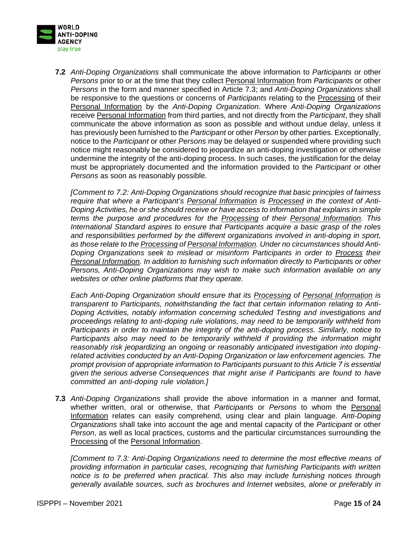

**7.2** *Anti-Doping Organizations* shall communicate the above information to *Participants* or other *Persons* prior to or at the time that they collect Personal Information from *Participants* or other *Persons* in the form and manner specified in Article 7.3; and *Anti-Doping Organizations* shall be responsive to the questions or concerns of *Participants* relating to the Processing of their Personal Information by the *Anti-Doping Organization*. Where *Anti-Doping Organizations* receive Personal Information from third parties, and not directly from the *Participant*, they shall communicate the above information as soon as possible and without undue delay, unless it has previously been furnished to the *Participant* or other *Person* by other parties. Exceptionally, notice to the *Participant* or other *Persons* may be delayed or suspended where providing such notice might reasonably be considered to jeopardize an anti-doping investigation or otherwise undermine the integrity of the anti-doping process. In such cases, the justification for the delay must be appropriately documented and the information provided to the *Participant* or other *Persons* as soon as reasonably possible.

*[Comment to 7.2: Anti-Doping Organizations should recognize that basic principles of fairness require that where a Participant's Personal Information is Processed in the context of Anti-Doping Activities, he or she should receive or have access to information that explains in simple terms the purpose and procedures for the Processing of their Personal Information. This International Standard aspires to ensure that Participants acquire a basic grasp of the roles and responsibilities performed by the different organizations involved in anti-doping in sport, as those relate to the Processing of Personal Information. Under no circumstances should Anti-Doping Organizations seek to mislead or misinform Participants in order to Process their Personal Information. In addition to furnishing such information directly to Participants or other Persons, Anti-Doping Organizations may wish to make such information available on any websites or other online platforms that they operate.*

*Each Anti-Doping Organization should ensure that its Processing of Personal Information is transparent to Participants, notwithstanding the fact that certain information relating to Anti-Doping Activities, notably information concerning scheduled Testing and investigations and proceedings relating to anti-doping rule violations, may need to be temporarily withheld from Participants in order to maintain the integrity of the anti-doping process. Similarly, notice to Participants also may need to be temporarily withheld if providing the information might reasonably risk jeopardizing an ongoing or reasonably anticipated investigation into dopingrelated activities conducted by an Anti-Doping Organization or law enforcement agencies. The prompt provision of appropriate information to Participants pursuant to this Article 7 is essential given the serious adverse Consequences that might arise if Participants are found to have committed an anti-doping rule violation.]*

**7.3** *Anti-Doping Organizations* shall provide the above information in a manner and format, whether written, oral or otherwise, that *Participants* or *Persons* to whom the Personal Information relates can easily comprehend, using clear and plain language. *Anti-Doping Organizations* shall take into account the age and mental capacity of the *Participant* or other *Person*, as well as local practices, customs and the particular circumstances surrounding the Processing of the Personal Information.

*[Comment to 7.3: Anti-Doping Organizations need to determine the most effective means of providing information in particular cases, recognizing that furnishing Participants with written notice is to be preferred when practical. This also may include furnishing notices through generally available sources, such as brochures and Internet websites, alone or preferably in*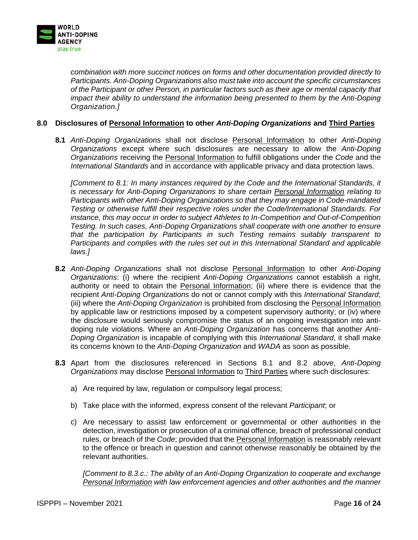

*combination with more succinct notices on forms and other documentation provided directly to Participants. Anti-Doping Organizations also must take into account the specific circumstances of the Participant or other Person, in particular factors such as their age or mental capacity that impact their ability to understand the information being presented to them by the Anti-Doping Organization.]*

## <span id="page-15-0"></span>**8.0 Disclosures of Personal Information to other** *Anti-Doping Organizations* **and Third Parties**

**8.1** *Anti-Doping Organizations* shall not disclose Personal Information to other *Anti-Doping Organizations* except where such disclosures are necessary to allow the *Anti-Doping Organizations* receiving the Personal Information to fulfill obligations under the *Code* and the *International Standards* and in accordance with applicable privacy and data protection laws.

*[Comment to 8.1: In many instances required by the Code and the International Standards, it is necessary for Anti-Doping Organizations to share certain Personal Information relating to Participants with other Anti-Doping Organizations so that they may engage in Code-mandated Testing or otherwise fulfill their respective roles under the Code/International Standards. For instance, this may occur in order to subject Athletes to In-Competition and Out-of-Competition Testing. In such cases, Anti-Doping Organizations shall cooperate with one another to ensure that the participation by Participants in such Testing remains suitably transparent to Participants and complies with the rules set out in this International Standard and applicable laws.]*

- **8.2** *Anti-Doping Organizations* shall not disclose Personal Information to other *Anti-Doping Organizations*: (i) where the recipient *Anti-Doping Organizations* cannot establish a right, authority or need to obtain the Personal Information; (ii) where there is evidence that the recipient *Anti-Doping Organizations* do not or cannot comply with this *International Standard*; (iii) where the *Anti-Doping Organization* is prohibited from disclosing the Personal Information by applicable law or restrictions imposed by a competent supervisory authority; or (iv) where the disclosure would seriously compromise the status of an ongoing investigation into antidoping rule violations. Where an *Anti-Doping Organization* has concerns that another *Anti-Doping Organization* is incapable of complying with this *International Standard*, it shall make its concerns known to the *Anti-Doping Organization* and *WADA* as soon as possible.
- **8.3** Apart from the disclosures referenced in Sections 8.1 and 8.2 above, *Anti-Doping Organizations* may disclose Personal Information to Third Parties where such disclosures:
	- a) Are required by law, regulation or compulsory legal process;
	- b) Take place with the informed, express consent of the relevant *Participant*; or
	- c) Are necessary to assist law enforcement or governmental or other authorities in the detection, investigation or prosecution of a criminal offence, breach of professional conduct rules, or breach of the *Code*; provided that the **Personal Information** is reasonably relevant to the offence or breach in question and cannot otherwise reasonably be obtained by the relevant authorities.

*[Comment to 8.3.c.: The ability of an Anti-Doping Organization to cooperate and exchange Personal Information with law enforcement agencies and other authorities and the manner*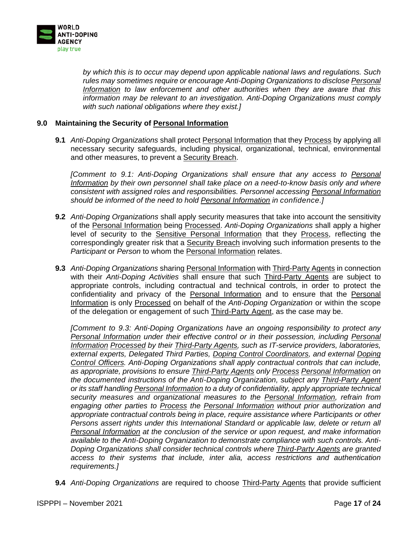

*by which this is to occur may depend upon applicable national laws and regulations. Such rules may sometimes require or encourage Anti-Doping Organizations to disclose Personal Information to law enforcement and other authorities when they are aware that this information may be relevant to an investigation. Anti-Doping Organizations must comply with such national obligations where they exist.]*

## <span id="page-16-0"></span>**9.0 Maintaining the Security of Personal Information**

**9.1** *Anti-Doping Organizations* shall protect Personal Information that they Process by applying all necessary security safeguards, including physical, organizational, technical, environmental and other measures, to prevent a Security Breach.

*[Comment to 9.1: Anti-Doping Organizations shall ensure that any access to Personal Information by their own personnel shall take place on a need-to-know basis only and where consistent with assigned roles and responsibilities. Personnel accessing Personal Information should be informed of the need to hold Personal Information in confidence.]*

- **9.2** *Anti-Doping Organizations* shall apply security measures that take into account the sensitivity of the Personal Information being Processed. *Anti-Doping Organizations* shall apply a higher level of security to the Sensitive Personal Information that they Process, reflecting the correspondingly greater risk that a Security Breach involving such information presents to the *Participant* or *Person* to whom the Personal Information relates.
- **9.3** *Anti-Doping Organizations* sharing Personal Information with Third-Party Agents in connection with their *Anti-Doping Activities* shall ensure that such Third-Party Agents are subject to appropriate controls, including contractual and technical controls, in order to protect the confidentiality and privacy of the Personal Information and to ensure that the Personal Information is only Processed on behalf of the *Anti-Doping Organization* or within the scope of the delegation or engagement of such Third-Party Agent, as the case may be.

*[Comment to 9.3: Anti-Doping Organizations have an ongoing responsibility to protect any Personal Information under their effective control or in their possession, including Personal Information Processed by their Third-Party Agents, such as IT-service providers, laboratories, external experts, Delegated Third Parties, Doping Control Coordinators, and external Doping Control Officers. Anti-Doping Organizations shall apply contractual controls that can include, as appropriate, provisions to ensure Third-Party Agents only Process Personal Information on the documented instructions of the Anti-Doping Organization, subject any Third-Party Agent or its staff handling Personal Information to a duty of confidentiality, apply appropriate technical security measures and organizational measures to the Personal Information, refrain from engaging other parties to Process the Personal Information without prior authorization and appropriate contractual controls being in place, require assistance where Participants or other Persons assert rights under this International Standard or applicable law, delete or return all Personal Information at the conclusion of the service or upon request, and make information available to the Anti-Doping Organization to demonstrate compliance with such controls. Anti-Doping Organizations shall consider technical controls where Third-Party Agents are granted access to their systems that include, inter alia, access restrictions and authentication requirements.]*

**9.4** *Anti-Doping Organizations* are required to choose Third-Party Agents that provide sufficient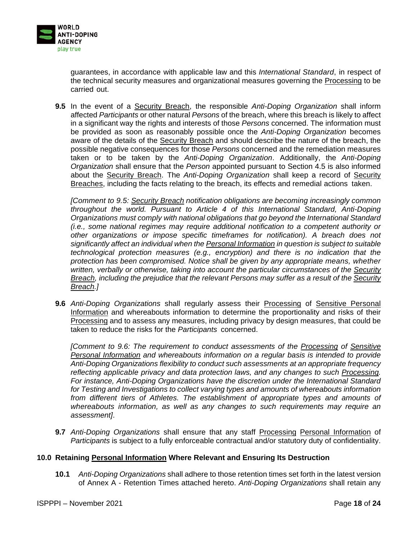

guarantees, in accordance with applicable law and this *International Standard*, in respect of the technical security measures and organizational measures governing the Processing to be carried out.

**9.5** In the event of a Security Breach, the responsible *Anti-Doping Organization* shall inform affected *Participants* or other natural *Persons* of the breach, where this breach is likely to affect in a significant way the rights and interests of those *Persons* concerned. The information must be provided as soon as reasonably possible once the *Anti-Doping Organization* becomes aware of the details of the Security Breach and should describe the nature of the breach, the possible negative consequences for those *Persons* concerned and the remediation measures taken or to be taken by the *Anti-Doping Organization*. Additionally, the *Anti-Doping Organization* shall ensure that the *Person* appointed pursuant to Section 4.5 is also informed about the Security Breach. The *Anti-Doping Organization* shall keep a record of Security Breaches, including the facts relating to the breach, its effects and remedial actions taken.

*[Comment to 9.5: Security Breach notification obligations are becoming increasingly common throughout the world. Pursuant to Article 4 of this International Standard, Anti-Doping Organizations must comply with national obligations that go beyond the International Standard (i.e., some national regimes may require additional notification to a competent authority or other organizations or impose specific timeframes for notification). A breach does not significantly affect an individual when the Personal Information in question is subject to suitable technological protection measures (e.g., encryption) and there is no indication that the protection has been compromised. Notice shall be given by any appropriate means, whether written, verbally or otherwise, taking into account the particular circumstances of the Security Breach, including the prejudice that the relevant Persons may suffer as a result of the Security Breach.]*

**9.6** *Anti-Doping Organizations* shall regularly assess their Processing of Sensitive Personal Information and whereabouts information to determine the proportionality and risks of their Processing and to assess any measures, including privacy by design measures, that could be taken to reduce the risks for the *Participants* concerned.

*[Comment to 9.6: The requirement to conduct assessments of the Processing of Sensitive Personal Information and whereabouts information on a regular basis is intended to provide Anti-Doping Organizations flexibility to conduct such assessments at an appropriate frequency reflecting applicable privacy and data protection laws, and any changes to such Processing. For instance, Anti-Doping Organizations have the discretion under the International Standard for Testing and Investigations to collect varying types and amounts of whereabouts information*  from different tiers of Athletes. The establishment of appropriate types and amounts of *whereabouts information, as well as any changes to such requirements may require an assessment]*.

**9.7** *Anti-Doping Organizations* shall ensure that any staff Processing Personal Information of *Participants* is subject to a fully enforceable contractual and/or statutory duty of confidentiality.

## <span id="page-17-0"></span>**10.0 Retaining Personal Information Where Relevant and Ensuring Its Destruction**

**10.1** *Anti-Doping Organizations* shall adhere to those retention times set forth in the latest version of Annex A - Retention Times attached hereto. *Anti-Doping Organizations* shall retain any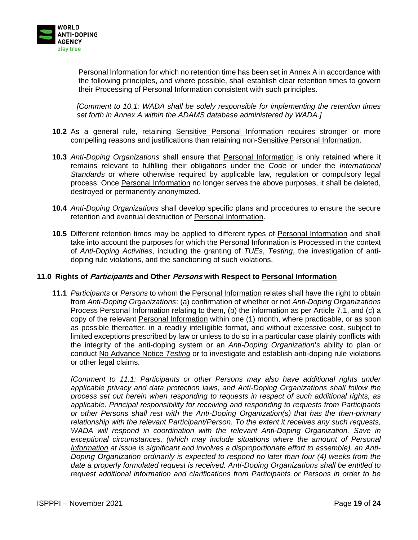

Personal Information for which no retention time has been set in Annex A in accordance with the following principles, and where possible, shall establish clear retention times to govern their Processing of Personal Information consistent with such principles.

*[Comment to 10.1: WADA shall be solely responsible for implementing the retention times set forth in Annex A within the ADAMS database administered by WADA.]*

- 10.2 As a general rule, retaining Sensitive Personal Information requires stronger or more compelling reasons and justifications than retaining non-Sensitive Personal Information.
- **10.3** *Anti-Doping Organizations* shall ensure that Personal Information is only retained where it remains relevant to fulfilling their obligations under the *Code* or under the *International Standards* or where otherwise required by applicable law, regulation or compulsory legal process. Once Personal Information no longer serves the above purposes, it shall be deleted, destroyed or permanently anonymized.
- **10.4** *Anti-Doping Organizations* shall develop specific plans and procedures to ensure the secure retention and eventual destruction of Personal Information.
- **10.5** Different retention times may be applied to different types of Personal Information and shall take into account the purposes for which the Personal Information is Processed in the context of *Anti-Doping Activities*, including the granting of *TUEs*, *Testing*, the investigation of antidoping rule violations, and the sanctioning of such violations.

## <span id="page-18-0"></span>**11.0 Rights of Participants and Other Persons with Respect to Personal Information**

**11.1** *Participants* or *Persons* to whom the Personal Information relates shall have the right to obtain from *Anti-Doping Organizations*: (a) confirmation of whether or not *Anti-Doping Organizations*  Process Personal Information relating to them, (b) the information as per Article 7.1, and (c) a copy of the relevant Personal Information within one (1) month, where practicable, or as soon as possible thereafter, in a readily intelligible format, and without excessive cost, subject to limited exceptions prescribed by law or unless to do so in a particular case plainly conflicts with the integrity of the anti-doping system or an *Anti-Doping Organization*'*s* ability to plan or conduct No Advance Notice *Testing* or to investigate and establish anti-doping rule violations or other legal claims.

*[Comment to 11.1: Participants or other Persons may also have additional rights under applicable privacy and data protection laws, and Anti-Doping Organizations shall follow the process set out herein when responding to requests in respect of such additional rights, as applicable. Principal responsibility for receiving and responding to requests from Participants or other Persons shall rest with the Anti-Doping Organization(s) that has the then-primary relationship with the relevant Participant/Person. To the extent it receives any such requests, WADA will respond in coordination with the relevant Anti-Doping Organization. Save in* exceptional circumstances, (which may include situations where the amount of Personal *Information at issue is significant and involves a disproportionate effort to assemble), an Anti-Doping Organization ordinarily is expected to respond no later than four (4) weeks from the date a properly formulated request is received. Anti-Doping Organizations shall be entitled to request additional information and clarifications from Participants or Persons in order to be*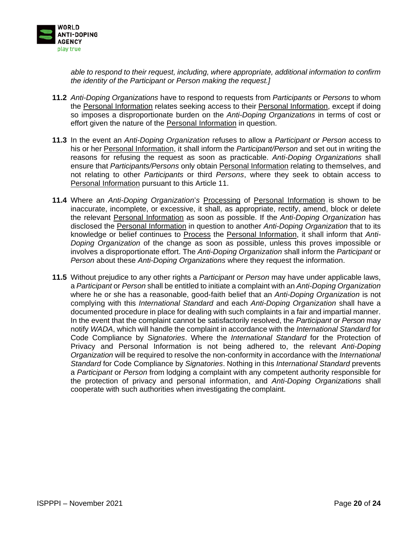

*able to respond to their request, including, where appropriate, additional information to confirm the identity of the Participant or Person making the request.]*

- **11.2** *Anti-Doping Organizations* have to respond to requests from *Participants* or *Persons* to whom the Personal Information relates seeking access to their Personal Information, except if doing so imposes a disproportionate burden on the *Anti-Doping Organizations* in terms of cost or effort given the nature of the Personal Information in question.
- **11.3** In the event an *Anti-Doping Organization* refuses to allow a *Participant or Person* access to his or her Personal Information, it shall inform the *Participant/Person* and set out in writing the reasons for refusing the request as soon as practicable. *Anti-Doping Organizations* shall ensure that *Participants/Persons* only obtain Personal Information relating to themselves, and not relating to other *Participants* or third *Persons*, where they seek to obtain access to Personal Information pursuant to this Article 11.
- **11.4** Where an *Anti-Doping Organization*'*s* Processing of Personal Information is shown to be inaccurate, incomplete, or excessive, it shall, as appropriate, rectify, amend, block or delete the relevant Personal Information as soon as possible. If the *Anti-Doping Organization* has disclosed the Personal Information in question to another *Anti-Doping Organization* that to its knowledge or belief continues to Process the Personal Information, it shall inform that *Anti-Doping Organization* of the change as soon as possible, unless this proves impossible or involves a disproportionate effort. The *Anti-Doping Organization* shall inform the *Participant* or *Person* about these *Anti-Doping Organizations* where they request the information.
- **11.5** Without prejudice to any other rights a *Participant* or *Person* may have under applicable laws, a *Participant* or *Person* shall be entitled to initiate a complaint with an *Anti-Doping Organization*  where he or she has a reasonable, good-faith belief that an *Anti-Doping Organization* is not complying with this *International Standard* and each *Anti-Doping Organization* shall have a documented procedure in place for dealing with such complaints in a fair and impartial manner. In the event that the complaint cannot be satisfactorily resolved, the *Participant* or *Person* may notify *WADA*, which will handle the complaint in accordance with the *International Standard* for Code Compliance by *Signatories*. Where the *International Standard* for the Protection of Privacy and Personal Information is not being adhered to, the relevant *Anti-Doping Organization* will be required to resolve the non-conformity in accordance with the *International Standard* for Code Compliance by *Signatories*. Nothing in this *International Standard* prevents a *Participant* or *Person* from lodging a complaint with any competent authority responsible for the protection of privacy and personal information, and *Anti-Doping Organizations* shall cooperate with such authorities when investigating the complaint.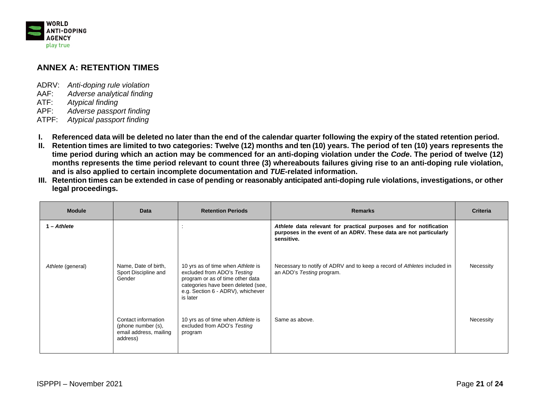

## **ANNEX A: RETENTION TIMES**

- ADRV: *Anti-doping rule violation*
- Adverse analytical finding
- ATF: *Atypical finding*
- APF: *Adverse passport finding*
- ATPF: *Atypical passport finding*
- I. Referenced data will be deleted no later than the end of the calendar quarter following the expiry of the stated retention period.
- II. Retention times are limited to two categories: Twelve (12) months and ten (10) years. The period of ten (10) years represents the **time period during which an action may be commenced for an anti-doping violation under the** *Code***. The period of twelve (12) months represents the time period relevant to count three (3) whereabouts failures giving rise to an anti-doping rule violation, and is also applied to certain incomplete documentation and** *TUE***-related information.**
- <span id="page-20-0"></span>III. Retention times can be extended in case of pending or reasonably anticipated anti-doping rule violations, investigations, or other **legal proceedings.**

| <b>Module</b>     | Data                                                                            | <b>Retention Periods</b>                                                                                                                                                                    | <b>Remarks</b>                                                                                                                                       | <b>Criteria</b> |
|-------------------|---------------------------------------------------------------------------------|---------------------------------------------------------------------------------------------------------------------------------------------------------------------------------------------|------------------------------------------------------------------------------------------------------------------------------------------------------|-----------------|
| $1 -$ Athlete     |                                                                                 |                                                                                                                                                                                             | Athlete data relevant for practical purposes and for notification<br>purposes in the event of an ADRV. These data are not particularly<br>sensitive. |                 |
| Athlete (general) | Name, Date of birth,<br>Sport Discipline and<br>Gender                          | 10 yrs as of time when Athlete is<br>excluded from ADO's Testing<br>program or as of time other data<br>categories have been deleted (see,<br>e.g. Section 6 - ADRV), whichever<br>is later | Necessary to notify of ADRV and to keep a record of Athletes included in<br>an ADO's Testing program.                                                | Necessity       |
|                   | Contact information<br>(phone number (s),<br>email address, mailing<br>address) | 10 yrs as of time when Athlete is<br>excluded from ADO's Testing<br>program                                                                                                                 | Same as above.                                                                                                                                       | Necessity       |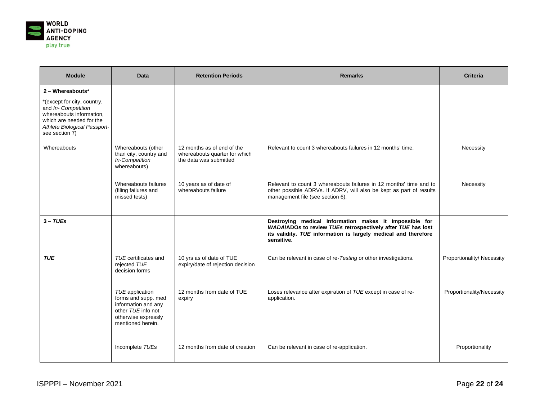

| <b>Module</b>                                                                                                                                                                      | Data                                                                                                                            | <b>Retention Periods</b>                                                              | <b>Remarks</b>                                                                                                                                                                                        | <b>Criteria</b>            |
|------------------------------------------------------------------------------------------------------------------------------------------------------------------------------------|---------------------------------------------------------------------------------------------------------------------------------|---------------------------------------------------------------------------------------|-------------------------------------------------------------------------------------------------------------------------------------------------------------------------------------------------------|----------------------------|
| $2 -$ Whereabouts*<br>*(except for city, country,<br>and In- Competition<br>whereabouts information,<br>which are needed for the<br>Athlete Biological Passport-<br>see section 7) |                                                                                                                                 |                                                                                       |                                                                                                                                                                                                       |                            |
| Whereabouts                                                                                                                                                                        | Whereabouts (other<br>than city, country and<br>In-Competition<br>whereabouts)                                                  | 12 months as of end of the<br>whereabouts quarter for which<br>the data was submitted | Relevant to count 3 whereabouts failures in 12 months' time.                                                                                                                                          | Necessity                  |
|                                                                                                                                                                                    | Whereabouts failures<br>(filing failures and<br>missed tests)                                                                   | 10 years as of date of<br>whereabouts failure                                         | Relevant to count 3 whereabouts failures in 12 months' time and to<br>other possible ADRVs. If ADRV, will also be kept as part of results<br>management file (see section 6).                         | Necessity                  |
| $3 - TUEs$                                                                                                                                                                         |                                                                                                                                 |                                                                                       | Destroying medical information makes it impossible for<br>WADA/ADOs to review TUEs retrospectively after TUE has lost<br>its validity. TUE information is largely medical and therefore<br>sensitive. |                            |
| <b>TUE</b>                                                                                                                                                                         | TUE certificates and<br>rejected TUE<br>decision forms                                                                          | 10 yrs as of date of TUE<br>expiry/date of rejection decision                         | Can be relevant in case of re-Testing or other investigations.                                                                                                                                        | Proportionality/ Necessity |
|                                                                                                                                                                                    | TUE application<br>forms and supp. med<br>information and any<br>other TUE info not<br>otherwise expressly<br>mentioned herein. | 12 months from date of TUE<br>expiry                                                  | Loses relevance after expiration of TUE except in case of re-<br>application.                                                                                                                         | Proportionality/Necessity  |
|                                                                                                                                                                                    | Incomplete TUEs                                                                                                                 | 12 months from date of creation                                                       | Can be relevant in case of re-application.                                                                                                                                                            | Proportionality            |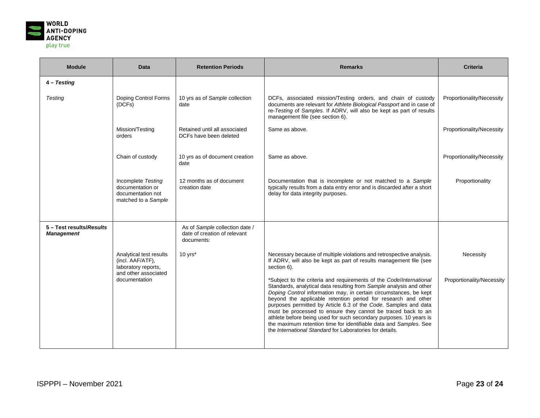

| <b>Module</b>                                 | Data                                                                                       | <b>Retention Periods</b>                                                     | <b>Remarks</b>                                                                                                                                                                                                                                                                                                                                                                                                                                                                                                                                                                                                             | <b>Criteria</b>           |
|-----------------------------------------------|--------------------------------------------------------------------------------------------|------------------------------------------------------------------------------|----------------------------------------------------------------------------------------------------------------------------------------------------------------------------------------------------------------------------------------------------------------------------------------------------------------------------------------------------------------------------------------------------------------------------------------------------------------------------------------------------------------------------------------------------------------------------------------------------------------------------|---------------------------|
| 4 - Testing                                   |                                                                                            |                                                                              |                                                                                                                                                                                                                                                                                                                                                                                                                                                                                                                                                                                                                            |                           |
| Testing                                       | Doping Control Forms<br>(DCFs)                                                             | 10 yrs as of Sample collection<br>date                                       | DCFs, associated mission/Testing orders, and chain of custody<br>documents are relevant for Athlete Biological Passport and in case of<br>re-Testing of Samples. If ADRV, will also be kept as part of results<br>management file (see section 6).                                                                                                                                                                                                                                                                                                                                                                         | Proportionality/Necessity |
|                                               | Mission/Testing<br>orders                                                                  | Retained until all associated<br>DCFs have been deleted                      | Same as above.                                                                                                                                                                                                                                                                                                                                                                                                                                                                                                                                                                                                             | Proportionality/Necessity |
|                                               | Chain of custody                                                                           | 10 yrs as of document creation<br>date                                       | Same as above.                                                                                                                                                                                                                                                                                                                                                                                                                                                                                                                                                                                                             | Proportionality/Necessity |
|                                               | Incomplete Testing<br>documentation or<br>documentation not<br>matched to a Sample         | 12 months as of document<br>creation date                                    | Documentation that is incomplete or not matched to a Sample<br>typically results from a data entry error and is discarded after a short<br>delay for data integrity purposes.                                                                                                                                                                                                                                                                                                                                                                                                                                              | Proportionality           |
| 5 - Test results/Results<br><b>Management</b> |                                                                                            | As of Sample collection date /<br>date of creation of relevant<br>documents: |                                                                                                                                                                                                                                                                                                                                                                                                                                                                                                                                                                                                                            |                           |
|                                               | Analytical test results<br>(incl. AAF/ATF),<br>laboratory reports,<br>and other associated | $10$ yrs $*$                                                                 | Necessary because of multiple violations and retrospective analysis.<br>If ADRV, will also be kept as part of results management file (see<br>section 6).                                                                                                                                                                                                                                                                                                                                                                                                                                                                  | Necessity                 |
|                                               | documentation                                                                              |                                                                              | *Subject to the criteria and requirements of the Code/International<br>Standards, analytical data resulting from Sample analysis and other<br>Doping Control information may, in certain circumstances, be kept<br>beyond the applicable retention period for research and other<br>purposes permitted by Article 6.3 of the Code. Samples and data<br>must be processed to ensure they cannot be traced back to an<br>athlete before being used for such secondary purposes. 10 years is<br>the maximum retention time for identifiable data and Samples. See<br>the International Standard for Laboratories for details. | Proportionality/Necessity |